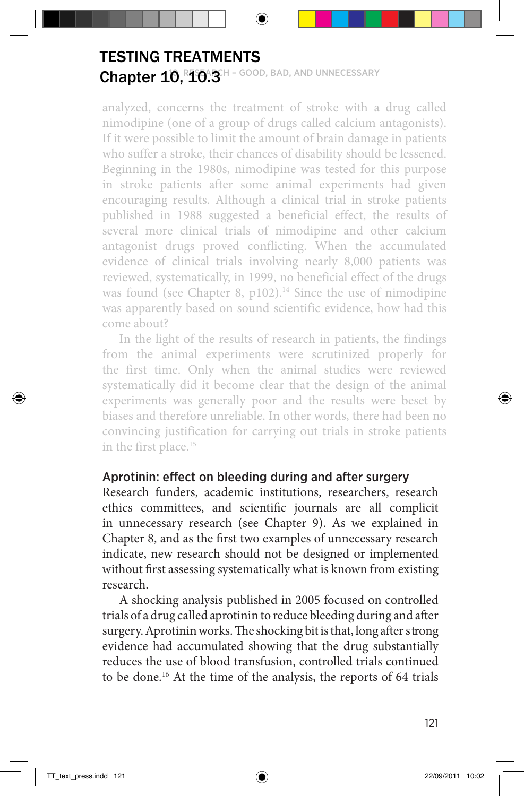## Chapter 10, R10.3H - GOOD, BAD, AND UNNECESSARY TESTING TREATMENTS

analyzed, concerns the treatment of stroke with a drug called nimodipine (one of a group of drugs called calcium antagonists). If it were possible to limit the amount of brain damage in patients who suffer a stroke, their chances of disability should be lessened. Beginning in the 1980s, nimodipine was tested for this purpose in stroke patients after some animal experiments had given encouraging results. Although a clinical trial in stroke patients published in 1988 suggested a beneficial effect, the results of several more clinical trials of nimodipine and other calcium antagonist drugs proved conflicting. When the accumulated evidence of clinical trials involving nearly 8,000 patients was reviewed, systematically, in 1999, no beneficial effect of the drugs was found (see Chapter 8,  $p102$ ).<sup>14</sup> Since the use of nimodipine was apparently based on sound scientific evidence, how had this come about?

In the light of the results of research in patients, the findings from the animal experiments were scrutinized properly for the first time. Only when the animal studies were reviewed systematically did it become clear that the design of the animal experiments was generally poor and the results were beset by biases and therefore unreliable. In other words, there had been no convincing justification for carrying out trials in stroke patients in the first place.<sup>15</sup>

## Aprotinin: effect on bleeding during and after surgery

Research funders, academic institutions, researchers, research ethics committees, and scientific journals are all complicit in unnecessary research (see Chapter 9). As we explained in Chapter 8, and as the first two examples of unnecessary research indicate, new research should not be designed or implemented without first assessing systematically what is known from existing research.

A shocking analysis published in 2005 focused on controlled trials of a drug called aprotinin to reduce bleeding during and after surgery. Aprotinin works. The shocking bit is that, long after strong evidence had accumulated showing that the drug substantially reduces the use of blood transfusion, controlled trials continued to be done.<sup>16</sup> At the time of the analysis, the reports of 64 trials